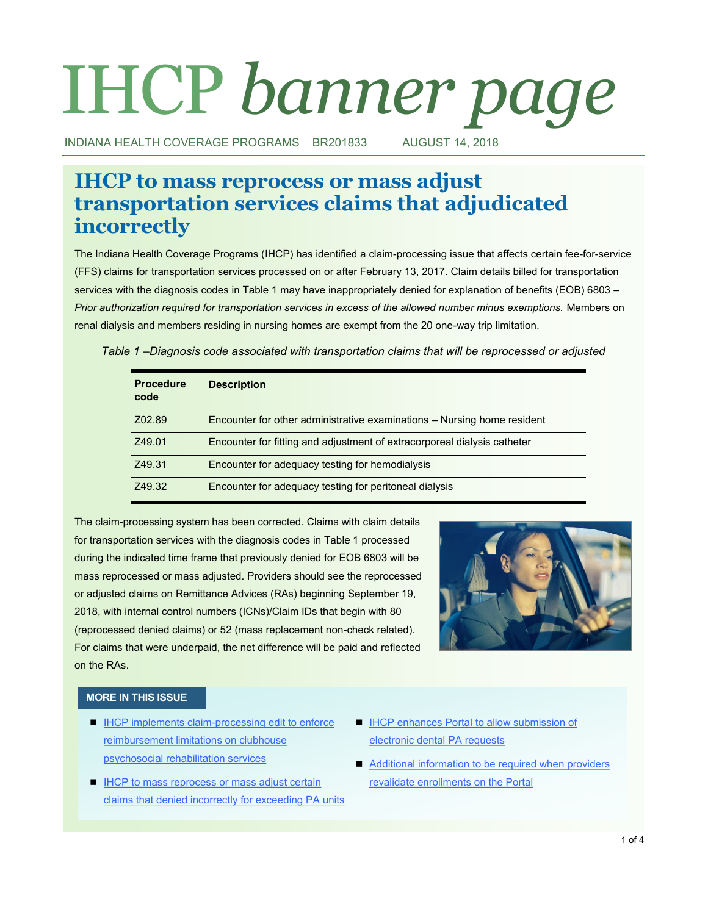# IHCP *banner page*

INDIANA HEALTH COVERAGE PROGRAMS BR201833 AUGUST 14, 2018

# **IHCP to mass reprocess or mass adjust transportation services claims that adjudicated incorrectly**

The Indiana Health Coverage Programs (IHCP) has identified a claim-processing issue that affects certain fee-for-service (FFS) claims for transportation services processed on or after February 13, 2017. Claim details billed for transportation services with the diagnosis codes in Table 1 may have inappropriately denied for explanation of benefits (EOB) 6803 – *Prior authorization required for transportation services in excess of the allowed number minus exemptions.* Members on renal dialysis and members residing in nursing homes are exempt from the 20 one-way trip limitation.

|  |  | Table 1 –Diagnosis code associated with transportation claims that will be reprocessed or adjusted |  |
|--|--|----------------------------------------------------------------------------------------------------|--|
|  |  |                                                                                                    |  |

| <b>Procedure</b><br>code | <b>Description</b>                                                       |
|--------------------------|--------------------------------------------------------------------------|
| Z02.89                   | Encounter for other administrative examinations - Nursing home resident  |
| Z49.01                   | Encounter for fitting and adjustment of extracorporeal dialysis catheter |
| Z49.31                   | Encounter for adequacy testing for hemodialysis                          |
| Z49.32                   | Encounter for adequacy testing for peritoneal dialysis                   |

The claim-processing system has been corrected. Claims with claim details for transportation services with the diagnosis codes in Table 1 processed during the indicated time frame that previously denied for EOB 6803 will be mass reprocessed or mass adjusted. Providers should see the reprocessed or adjusted claims on Remittance Advices (RAs) beginning September 19, 2018, with internal control numbers (ICNs)/Claim IDs that begin with 80 (reprocessed denied claims) or 52 (mass replacement non-check related). For claims that were underpaid, the net difference will be paid and reflected on the RAs.



### **MORE IN THIS ISSUE**

- $\blacksquare$  IHCP implements claim-processing edit to enforce [reimbursement limitations on clubhouse](#page-1-0)  [psychosocial rehabilitation services](#page-1-0)
- **IFCP to mass reprocess or mass adjust certain** [claims that denied incorrectly for exceeding PA units](#page-2-0)
- **IHCP enhances Portal to allow submission of** [electronic dental PA requests](#page-2-0)
- Additional information to be required when providers [revalidate enrollments on the Portal](#page-3-0)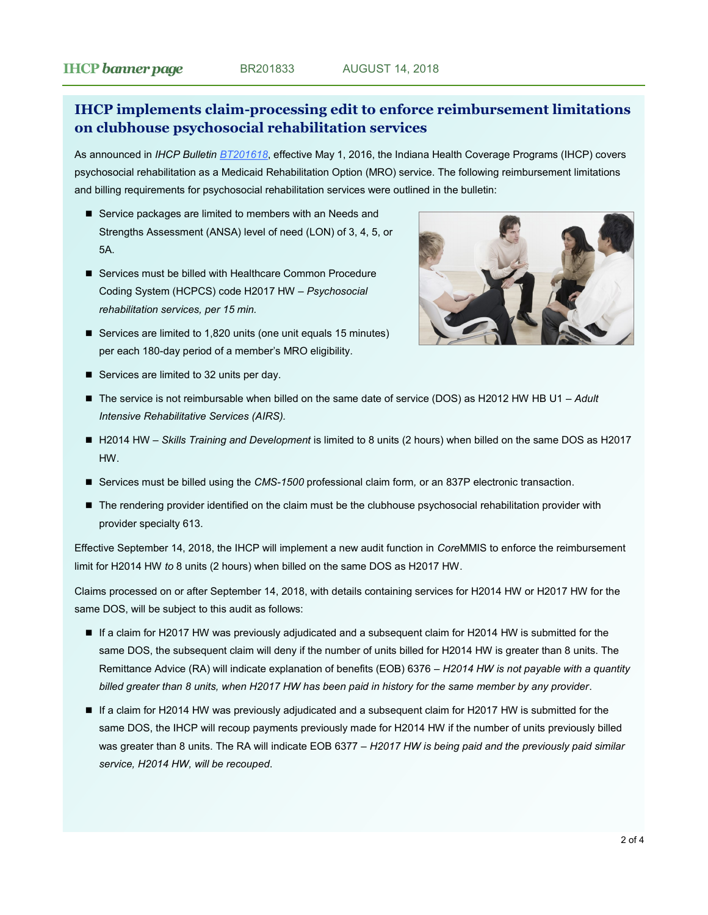# <span id="page-1-0"></span>**IHCP implements claim-processing edit to enforce reimbursement limitations on clubhouse psychosocial rehabilitation services**

As announced in *IHCP Bulletin [BT201618](http://provider.indianamedicaid.com/ihcp/Bulletins/BT201618.pdf)*, effective May 1, 2016, the Indiana Health Coverage Programs (IHCP) covers psychosocial rehabilitation as a Medicaid Rehabilitation Option (MRO) service. The following reimbursement limitations and billing requirements for psychosocial rehabilitation services were outlined in the bulletin:

- Service packages are limited to members with an Needs and Strengths Assessment (ANSA) level of need (LON) of 3, 4, 5, or 5A.
- Services must be billed with Healthcare Common Procedure Coding System (HCPCS) code H2017 HW – *Psychosocial rehabilitation services, per 15 min.*
- Services are limited to 1,820 units (one unit equals 15 minutes) per each 180-day period of a member's MRO eligibility.



- Services are limited to 32 units per day.
- The service is not reimbursable when billed on the same date of service (DOS) as H2012 HW HB U1 Adult *Intensive Rehabilitative Services (AIRS).*
- H2014 HW *Skills Training and Development* is limited to 8 units (2 hours) when billed on the same DOS as H2017 HW.
- Services must be billed using the *CMS*<sup>*-1500* professional claim form, or an 837P electronic transaction.</sup>
- The rendering provider identified on the claim must be the clubhouse psychosocial rehabilitation provider with provider specialty 613.

Effective September 14, 2018, the IHCP will implement a new audit function in *Core*MMIS to enforce the reimbursement limit for H2014 HW *to* 8 units (2 hours) when billed on the same DOS as H2017 HW.

Claims processed on or after September 14, 2018, with details containing services for H2014 HW or H2017 HW for the same DOS, will be subject to this audit as follows:

- If a claim for H2017 HW was previously adjudicated and a subsequent claim for H2014 HW is submitted for the same DOS, the subsequent claim will deny if the number of units billed for H2014 HW is greater than 8 units. The Remittance Advice (RA) will indicate explanation of benefits (EOB) 6376 – *H2014 HW is not payable with a quantity billed greater than 8 units, when H2017 HW has been paid in history for the same member by any provider*.
- If a claim for H2014 HW was previously adjudicated and a subsequent claim for H2017 HW is submitted for the same DOS, the IHCP will recoup payments previously made for H2014 HW if the number of units previously billed was greater than 8 units. The RA will indicate EOB 6377 – *H2017 HW is being paid and the previously paid similar service, H2014 HW, will be recouped*.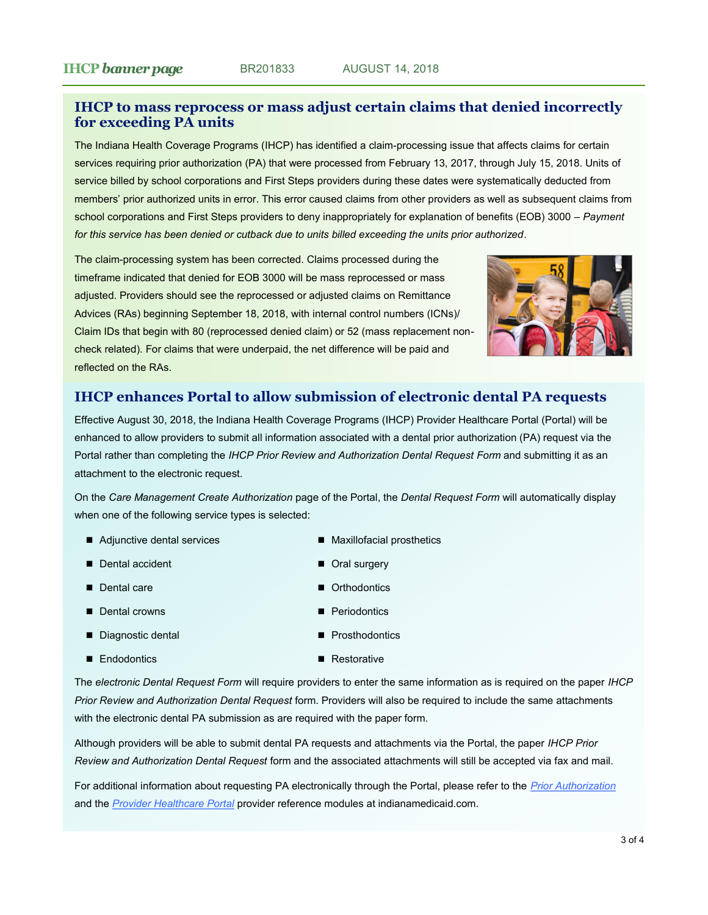# <span id="page-2-0"></span>**IHCP to mass reprocess or mass adjust certain claims that denied incorrectly for exceeding PA units**

The Indiana Health Coverage Programs (IHCP) has identified a claim-processing issue that affects claims for certain services requiring prior authorization (PA) that were processed from February 13, 2017, through July 15, 2018. Units of service billed by school corporations and First Steps providers during these dates were systematically deducted from members' prior authorized units in error. This error caused claims from other providers as well as subsequent claims from school corporations and First Steps providers to deny inappropriately for explanation of benefits (EOB) 3000 – *Payment for this service has been denied or cutback due to units billed exceeding the units prior authorized*.

The claim-processing system has been corrected. Claims processed during the timeframe indicated that denied for EOB 3000 will be mass reprocessed or mass adjusted. Providers should see the reprocessed or adjusted claims on Remittance Advices (RAs) beginning September 18, 2018, with internal control numbers (ICNs)/ Claim IDs that begin with 80 (reprocessed denied claim) or 52 (mass replacement noncheck related). For claims that were underpaid, the net difference will be paid and reflected on the RAs.



# **IHCP enhances Portal to allow submission of electronic dental PA requests**

Effective August 30, 2018, the Indiana Health Coverage Programs (IHCP) Provider Healthcare Portal (Portal) will be enhanced to allow providers to submit all information associated with a dental prior authorization (PA) request via the Portal rather than completing the *IHCP Prior Review and Authorization Dental Request Form* and submitting it as an attachment to the electronic request.

On the *Care Management Create Authorization* page of the Portal, the *Dental Request Form* will automatically display when one of the following service types is selected:

- Adjunctive dental services
- Dental accident
- Dental care
- Dental crowns
- Diagnostic dental
- Endodontics
- Maxillofacial prosthetics
- Oral surgery
- Orthodontics
- **Periodontics**
- **Prosthodontics**
- Restorative

The *electronic Dental Request Form* will require providers to enter the same information as is required on the paper *IHCP Prior Review and Authorization Dental Request* form. Providers will also be required to include the same attachments with the electronic dental PA submission as are required with the paper form.

Although providers will be able to submit dental PA requests and attachments via the Portal, the paper *IHCP Prior Review and Authorization Dental Request* form and the associated attachments will still be accepted via fax and mail.

For additional information about requesting PA electronically through the Portal, please refer to the *[Prior Authorization](http://provider.indianamedicaid.com/media/155475/prior%20authorization.pdf)* and the *[Provider Healthcare Portal](http://provider.indianamedicaid.com/media/177265/provider%20healthcare%20portal.pdf)* provider reference modules at indianamedicaid.com.